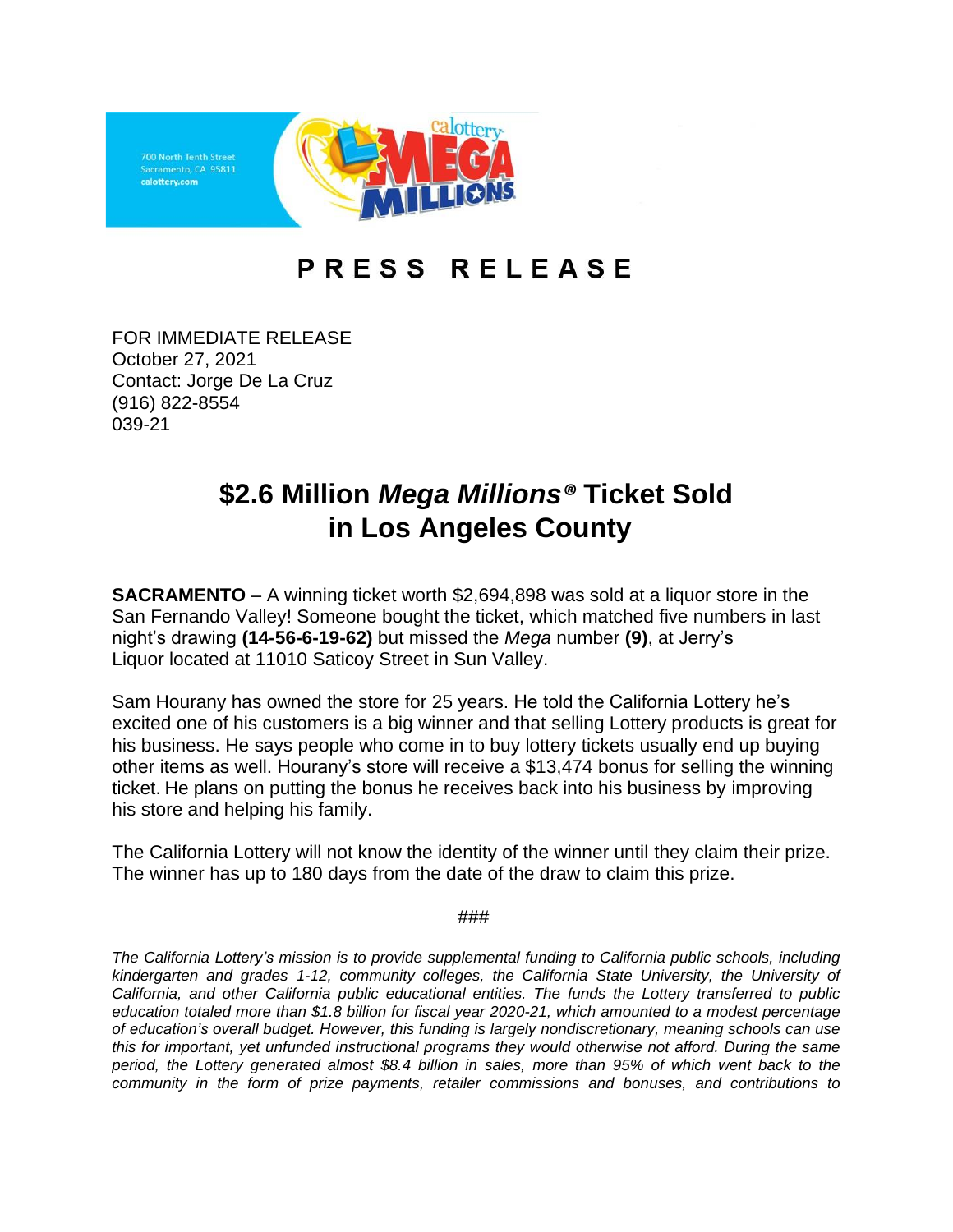

## PRESS RELEASE

FOR IMMEDIATE RELEASE October 27, 2021 Contact: Jorge De La Cruz (916) 822-8554 039-21

## **\$2.6 Million** *Mega Millions®* **Ticket Sold in Los Angeles County**

**SACRAMENTO** – A winning ticket worth \$2,694,898 was sold at a liquor store in the San Fernando Valley! Someone bought the ticket, which matched five numbers in last night's drawing **(14-56-6-19-62)** but missed the *Mega* number **(9)**, at Jerry's Liquor located at 11010 Saticoy Street in Sun Valley.

Sam Hourany has owned the store for 25 years. He told the California Lottery he's excited one of his customers is a big winner and that selling Lottery products is great for his business. He says people who come in to buy lottery tickets usually end up buying other items as well. Hourany's store will receive a \$13,474 bonus for selling the winning ticket. He plans on putting the bonus he receives back into his business by improving his store and helping his family.

The California Lottery will not know the identity of the winner until they claim their prize. The winner has up to 180 days from the date of the draw to claim this prize.

###

*The California Lottery's mission is to provide supplemental funding to California public schools, including kindergarten and grades 1-12, community colleges, the California State University, the University of California, and other California public educational entities. The funds the Lottery transferred to public education totaled more than \$1.8 billion for fiscal year 2020-21, which amounted to a modest percentage of education's overall budget. However, this funding is largely nondiscretionary, meaning schools can use this for important, yet unfunded instructional programs they would otherwise not afford. During the same* period, the Lottery generated almost \$8.4 billion in sales, more than 95% of which went back to the *community in the form of prize payments, retailer commissions and bonuses, and contributions to*